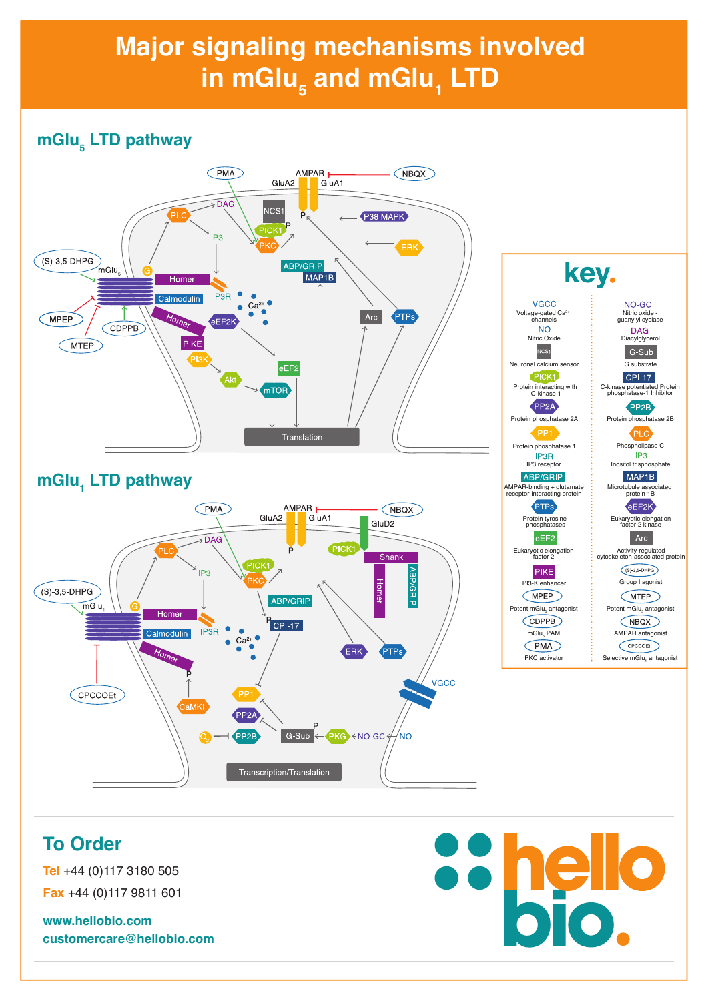# **Major signaling mechanisms involved**  in mGlu<sub>5</sub> and mGlu<sub>1</sub> LTD

## **mGlu5 LTD pathway**



## **mGlu1 LTD pathway**





#### **To Order**

**Tel** +44 (0)117 3180 505 **Fax** +44 (0)117 9811 601

**www.hellobio.com customercare@hellobio.com** 50